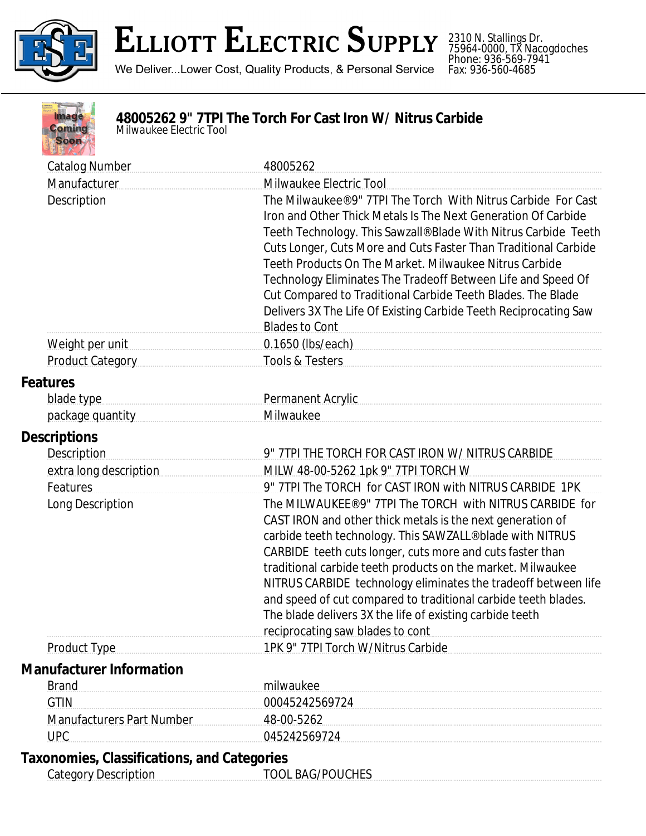

2310 N. Stallings Dr. 75964-0000, TX Nacogdoches Phone: 936-569-7941 Fax: 936-560-4685



## **48005262 9" 7TPI The Torch For Cast Iron W/ Nitrus Carbide**

*Milwaukee Electric Tool*

| <b>Catalog Number</b>                              | 48005262                                                                                                                                                                                                                       |  |  |
|----------------------------------------------------|--------------------------------------------------------------------------------------------------------------------------------------------------------------------------------------------------------------------------------|--|--|
| Manufacturer                                       | Milwaukee Electric Tool                                                                                                                                                                                                        |  |  |
| Description                                        | The Milwaukee® 9" 7TPI The Torch With Nitrus Carbide For Cast                                                                                                                                                                  |  |  |
|                                                    | Iron and Other Thick Metals Is The Next Generation Of Carbide                                                                                                                                                                  |  |  |
|                                                    | Teeth Technology. This Sawzall® Blade With Nitrus Carbide Teeth                                                                                                                                                                |  |  |
|                                                    | Cuts Longer, Cuts More and Cuts Faster Than Traditional Carbide                                                                                                                                                                |  |  |
|                                                    | Teeth Products On The Market. Milwaukee Nitrus Carbide                                                                                                                                                                         |  |  |
|                                                    | Technology Eliminates The Tradeoff Between Life and Speed Of                                                                                                                                                                   |  |  |
|                                                    | Cut Compared to Traditional Carbide Teeth Blades. The Blade                                                                                                                                                                    |  |  |
|                                                    | Delivers 3X The Life Of Existing Carbide Teeth Reciprocating Saw                                                                                                                                                               |  |  |
|                                                    | <b>Blades to Cont</b>                                                                                                                                                                                                          |  |  |
| Weight per unit                                    | 0.1650 (lbs/each) example and the summary state of the state of the state of the state of the state of the state of the state of the state of the state of the state of the state of the state of the state of the state of th |  |  |
| Product Category                                   | Tools & Testers                                                                                                                                                                                                                |  |  |
| <b>Features</b>                                    |                                                                                                                                                                                                                                |  |  |
| blade type                                         | Permanent Acrylic Manuscriptus and Communications and Permanent Acrylic                                                                                                                                                        |  |  |
| package quantity                                   | Milwaukee                                                                                                                                                                                                                      |  |  |
| <b>Descriptions</b>                                |                                                                                                                                                                                                                                |  |  |
| <b>Description</b>                                 | 9" 7TPI THE TORCH FOR CAST IRON W/ NITRUS CARBIDE                                                                                                                                                                              |  |  |
| extra long description                             | MILW 48-00-5262 1pk 9" 7TPI TORCH W                                                                                                                                                                                            |  |  |
| Features                                           | 9" 7TPI The TORCH for CAST IRON with NITRUS CARBIDE 1PK                                                                                                                                                                        |  |  |
| Long Description                                   | The MILWAUKEE® 9" 7TPI The TORCH with NITRUS CARBIDE for                                                                                                                                                                       |  |  |
|                                                    | CAST IRON and other thick metals is the next generation of                                                                                                                                                                     |  |  |
|                                                    | carbide teeth technology. This SAWZALL® blade with NITRUS                                                                                                                                                                      |  |  |
|                                                    | CARBIDE teeth cuts longer, cuts more and cuts faster than                                                                                                                                                                      |  |  |
|                                                    | traditional carbide teeth products on the market. Milwaukee                                                                                                                                                                    |  |  |
|                                                    | NITRUS CARBIDE technology eliminates the tradeoff between life                                                                                                                                                                 |  |  |
|                                                    | and speed of cut compared to traditional carbide teeth blades.                                                                                                                                                                 |  |  |
|                                                    | The blade delivers 3X the life of existing carbide teeth                                                                                                                                                                       |  |  |
|                                                    | reciprocating saw blades to cont                                                                                                                                                                                               |  |  |
| <b>Product Type</b>                                | 1PK 9" 7TPI Torch W/Nitrus Carbide                                                                                                                                                                                             |  |  |
| <b>Manufacturer Information</b>                    |                                                                                                                                                                                                                                |  |  |
| <b>Brand</b>                                       | milwaukee                                                                                                                                                                                                                      |  |  |
| <b>GTIN</b>                                        | 00045242569724                                                                                                                                                                                                                 |  |  |
| <b>Manufacturers Part Number</b>                   | 48-00-5262                                                                                                                                                                                                                     |  |  |
| <b>UPC</b>                                         | 045242569724                                                                                                                                                                                                                   |  |  |
| <b>Taxonomies, Classifications, and Categories</b> |                                                                                                                                                                                                                                |  |  |
| <b>Category Description</b>                        | <b>TOOL BAG/POUCHES</b>                                                                                                                                                                                                        |  |  |